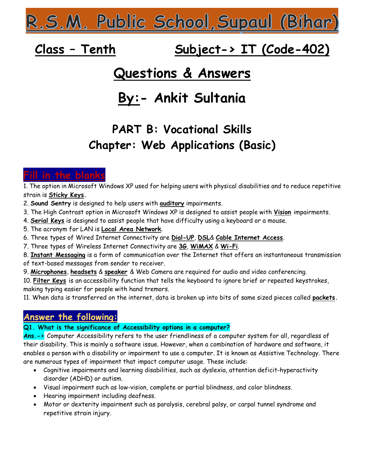<u> R.S.M. Public School, Supaul (Bihar)</u>

# Class - Tenth Subject-> IT (Code-402)

# Questions & Answers

# By:- Ankit Sultania

# PART B: Vocational Skills Chapter: Web Applications (Basic)

# Fill in the blanks

1. The option in Microsoft Windows XP used for helping users with physical disabilities and to reduce repetitive strain is Sticky Keys.

- 2. Sound Sentry is designed to help users with **auditory** impairments.
- 3. The High Contrast option in Microsoft Windows XP is designed to assist people with Vision impairments.
- 4. Serial Keys is designed to assist people that have difficulty using a keyboard or a mouse.
- 5. The acronym for LAN is Local Area Network.
- 6. Three types of Wired Internet Connectivity are Dial-UP, DSL& Cable Internet Access.
- 7. Three types of Wireless Internet Connectivity are 3G, WiMAX & Wi-Fi.
- 8. Instant Messaging is a form of communication over the Internet that offers an instantaneous transmission of text-based messages from sender to receiver.
- 9. Microphones, headsets & speaker & Web Camera are required for audio and video conferencing.
- 10. Filter Keys is an accessibility function that tells the keyboard to ignore brief or repeated keystrokes, making typing easier for people with hand tremors.

11. When data is transferred on the internet, data is broken up into bits of same sized pieces called packets.

## Answer the following:

#### Q1. What is the significance of Accessibility options in a computer?

Ans. - > Computer Accessibility refers to the user friendliness of a computer system for all, regardless of their disability. This is mainly a software issue. However, when a combination of hardware and software, it enables a person with a disability or impairment to use a computer. It is known as Assistive Technology. There are numerous types of impairment that impact computer usage. These include:

- Cognitive impairments and learning disabilities, such as dyslexia, attention deficit-hyperactivity disorder (ADHD) or autism.
- Visual impairment such as low-vision, complete or partial blindness, and color blindness.
- Hearing impairment including deafness.
- Motor or dexterity impairment such as paralysis, cerebral palsy, or carpal tunnel syndrome and repetitive strain injury.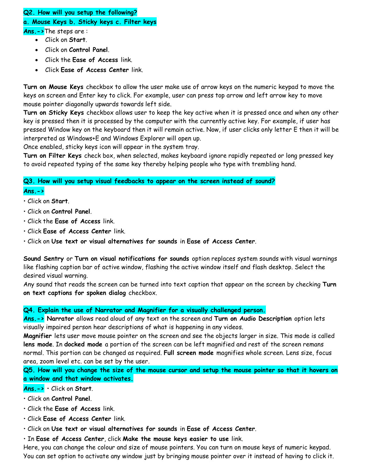### Q2. How will you setup the following?

### a. Mouse Keys b. Sticky keys c. Filter keys

Ans.->The steps are :

- Click on Start.
- Click on Control Panel.
- Click the Ease of Access link.
- Click Ease of Access Center link.

Turn on Mouse Keys checkbox to allow the user make use of arrow keys on the numeric keypad to move the keys on screen and Enter key to click. For example, user can press top arrow and left arrow key to move mouse pointer diagonally upwards towards left side.

Turn on Sticky Keys checkbox allows user to keep the key active when it is pressed once and when any other key is pressed then it is processed by the computer with the currently active key. For example, if user has pressed Window key on the keyboard then it will remain active. Now, if user clicks only letter E then it will be interpreted as Windows+E and Windows Explorer will open up.

Once enabled, sticky keys icon will appear in the system tray.

Turn on Filter Keys check box, when selected, makes keyboard ignore rapidly repeated or long pressed key to avoid repeated typing of the same key thereby helping people who type with trembling hand.

### Q3. How will you setup visual feedbacks to appear on the screen instead of sound?

#### $Ans. - >$

- Click on Start.
- Click on Control Panel.
- Click the Ease of Access link.
- Click Ease of Access Center link.
- Click on Use text or visual alternatives for sounds in Ease of Access Center.

Sound Sentry or Turn on visual notifications for sounds option replaces system sounds with visual warnings like flashing caption bar of active window, flashing the active window itself and flash desktop. Select the desired visual warning.

Any sound that reads the screen can be turned into text caption that appear on the screen by checking Turn on text captions for spoken dialog checkbox.

#### Q4. Explain the use of Narrator and Magnifier for a visually challenged person.

Ans.-> Narrator allows read aloud of any text on the screen and Turn on Audio Description option lets visually impaired person hear descriptions of what is happening in any videos.

Magnifier lets user move mouse pointer on the screen and see the objects larger in size. This mode is called lens mode. In docked mode a portion of the screen can be left magnified and rest of the screen remans normal. This portion can be changed as required. Full screen mode magnifies whole screen. Lens size, focus area, zoom level etc. can be set by the user.

Q5. How will you change the size of the mouse cursor and setup the mouse pointer so that it hovers on a window and that window activates.

#### Ans.-> • Click on Start.

• Click on Control Panel.

• Click the Ease of Access link.

- Click Ease of Access Center link.
- Click on Use text or visual alternatives for sounds in Ease of Access Center.
- In Ease of Access Center, click Make the mouse keys easier to use link.

Here, you can change the colour and size of mouse pointers. You can turn on mouse keys of numeric keypad. You can set option to activate any window just by bringing mouse pointer over it instead of having to click it.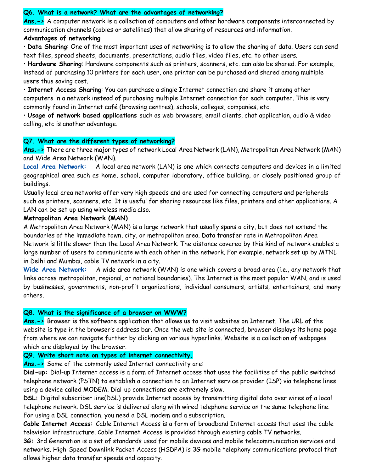#### Q6. What is a network? What are the advantages of networking?

Ans.-> A computer network is a collection of computers and other hardware components interconnected by communication channels (cables or satellites) that allow sharing of resources and information.

#### Advantages of networking

• Data Sharing: One of the most important uses of networking is to allow the sharing of data. Users can send text files, spread sheets, documents, presentations, audio files, video files, etc. to other users.

• Hardware Sharing: Hardware components such as printers, scanners, etc. can also be shared. For example, instead of purchasing 10 printers for each user, one printer can be purchased and shared among multiple users thus saving cost.

• Internet Access Sharing: You can purchase a single Internet connection and share it among other computers in a network instead of purchasing multiple Internet connection for each computer. This is very commonly found in Internet café (browsing centres), schools, colleges, companies, etc.

• Usage of network based applications such as web browsers, email clients, chat application, audio & video calling, etc is another advantage.

#### Q7. What are the different types of networking?

Ans.-> There are three major types of network Local Area Network (LAN), Metropolitan Area Network (MAN) and Wide Area Network (WAN).

Local Area Network: A local area network (LAN) is one which connects computers and devices in a limited geographical area such as home, school, computer laboratory, office building, or closely positioned group of buildings.

Usually local area networks offer very high speeds and are used for connecting computers and peripherals such as printers, scanners, etc. It is useful for sharing resources like files, printers and other applications. A LAN can be set up using wireless media also.

#### Metropolitan Area Network (MAN)

A Metropolitan Area Network (MAN) is a large network that usually spans a city, but does not extend the boundaries of the immediate town, city, or metropolitan area. Data transfer rate in Metropolitan Area Network is little slower than the Local Area Network. The distance covered by this kind of network enables a large number of users to communicate with each other in the network. For example, network set up by MTNL in Delhi and Mumbai, cable TV network in a city.

Wide Area Network: A wide area network (WAN) is one which covers a broad area (i.e., any network that links across metropolitan, regional, or national boundaries). The Internet is the most popular WAN, and is used by businesses, governments, non-profit organizations, individual consumers, artists, entertainers, and many others.

#### Q8. What is the significance of a browser on WWW?

Ans.-> Browser is the software application that allows us to visit websites on Internet. The URL of the website is type in the browser's address bar. Once the web site is connected, browser displays its home page from where we can navigate further by clicking on various hyperlinks. Website is a collection of webpages which are displayed by the browser.

#### Q9. Write short note on types of internet connectivity.

Ans.-> Some of the commonly used Internet connectivity are:

Dial-up: Dial-up Internet access is a form of Internet access that uses the facilities of the public switched telephone network (PSTN) to establish a connection to an Internet service provider (ISP) via telephone lines using a device called MODEM. Dial-up connections are extremely slow.

DSL: Digital subscriber line(DSL) provide Internet access by transmitting digital data over wires of a local telephone network. DSL service is delivered along with wired telephone service on the same telephone line. For using a DSL connection, you need a DSL modem and a subscription.

Cable Internet Access: Cable Internet Access is a form of broadband Internet access that uses the cable television infrastructure. Cable Internet Access is provided through existing cable TV networks.

3G: 3rd Generation is a set of standards used for mobile devices and mobile telecommunication services and networks. High-Speed Downlink Packet Access (HSDPA) is 3G mobile telephony communications protocol that allows higher data transfer speeds and capacity.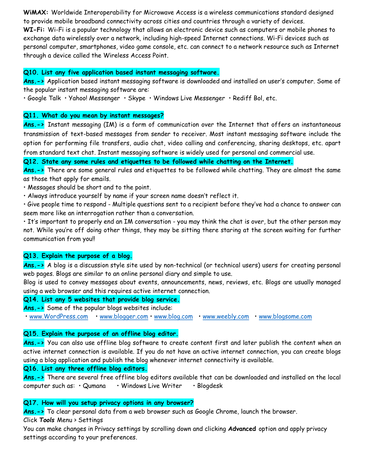WiMAX: Worldwide Interoperability for Microwave Access is a wireless communications standard designed to provide mobile broadband connectivity across cities and countries through a variety of devices. WI-Fi: Wi-Fi is a popular technology that allows an electronic device such as computers or mobile phones to exchange data wirelessly over a network, including high-speed Internet connections. Wi-Fi devices such as personal computer, smartphones, video game console, etc. can connect to a network resource such as Internet through a device called the Wireless Access Point.

#### Q10. List any five application based instant messaging software.

Ans.-> Application based instant messaging software is downloaded and installed on user's computer. Some of the popular instant messaging software are:

• Google Talk • Yahoo! Messenger • Skype • Windows Live Messenger • Rediff Bol, etc.

#### Q11. What do you mean by instant messages?

Ans.-> Instant messaging (IM) is a form of communication over the Internet that offers an instantaneous transmission of text-based messages from sender to receiver. Most instant messaging software include the option for performing file transfers, audio chat, video calling and conferencing, sharing desktops, etc. apart from standard text chat. Instant messaging software is widely used for personal and commercial use.

Q12. State any some rules and etiquettes to be followed while chatting on the Internet.

Ans.-> There are some general rules and etiquettes to be followed while chatting. They are almost the same as those that apply for emails.

• Messages should be short and to the point.

• Always introduce yourself by name if your screen name doesn't reflect it.

• Give people time to respond - Multiple questions sent to a recipient before they've had a chance to answer can seem more like an interrogation rather than a conversation.

• It's important to properly end an IM conversation - you may think the chat is over, but the other person may not. While you're off doing other things, they may be sitting there staring at the screen waiting for further communication from you!!

#### Q13. Explain the purpose of a blog.

Ans.-> A blog is a discussion style site used by non-technical (or technical users) users for creating personal web pages. Blogs are similar to an online personal diary and simple to use.

Blog is used to convey messages about events, announcements, news, reviews, etc. Blogs are usually managed using a web browser and this requires active internet connection.

#### Q14. List any 5 websites that provide blog service.

Ans.-> Some of the popular blogs websites include:

• www.WordPress.com • www.blogger.com • www.blog.com • www.weebly.com • www.blogsome.com

#### Q15. Explain the purpose of an offline blog editor.

Ans.-> You can also use offline blog software to create content first and later publish the content when an active internet connection is available. If you do not have an active internet connection, you can create blogs using a blog application and publish the blog whenever internet connectivity is available.

#### Q16. List any three offline blog editors.

Ans.-> There are several free offline blog editors available that can be downloaded and installed on the local computer such as: • Qumana • Windows Live Writer • Blogdesk

#### Q17. How will you setup privacy options in any browser?

 $Ans.-$  To clear personal data from a web browser such as Google Chrome, launch the browser.

Click Tools Menu > Settings

You can make changes in Privacy settings by scrolling down and clicking Advanced option and apply privacy settings according to your preferences.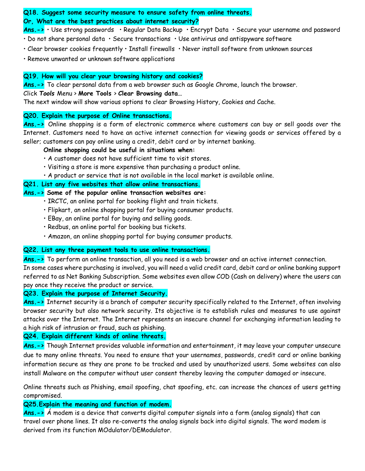#### Q18. Suggest some security measure to ensure safety from online threats. Or, What are the best practices about internet security?

Ans.-> • Use strong passwords • Regular Data Backup • Encrypt Data • Secure your username and password

- Do not share personal data Secure transactions Use antivirus and antispyware software
- Clear browser cookies frequently Install firewalls Never install software from unknown sources
- Remove unwanted or unknown software applications

#### Q19. How will you clear your browsing history and cookies?

Ans.-> To clear personal data from a web browser such as Google Chrome, launch the browser.

#### Click Tools Menu > More Tools > Clear Browsing data…

The next window will show various options to clear Browsing History, Cookies and Cache.

#### Q20. Explain the purpose of Online transactions.

Ans.-> Online shopping is a form of electronic commerce where customers can buy or sell goods over the Internet. Customers need to have an active internet connection for viewing goods or services offered by a seller; customers can pay online using a credit, debit card or by internet banking.

#### Online shopping could be useful in situations when:

- A customer does not have sufficient time to visit stores.
- Visiting a store is more expensive than purchasing a product online.
- A product or service that is not available in the local market is available online.

#### Q21. List any five websites that allow online transactions.

#### Ans. $\rightarrow$  Some of the popular online transaction websites are:

- IRCTC, an online portal for booking flight and train tickets.
- Flipkart, an online shopping portal for buying consumer products.
- EBay, an online portal for buying and selling goods.
- Redbus, an online portal for booking bus tickets.
- Amazon, an online shopping portal for buying consumer products.

#### Q22. List any three payment tools to use online transactions.

Ans.-> To perform an online transaction, all you need is a web browser and an active internet connection. In some cases where purchasing is involved, you will need a valid credit card, debit card or online banking support referred to as Net Banking Subscription. Some websites even allow COD (Cash on delivery) where the users can pay once they receive the product or service.

#### Q23. Explain the purpose of Internet Security.

Ans.-> Internet security is a branch of computer security specifically related to the Internet, often involving browser security but also network security. Its objective is to establish rules and measures to use against attacks over the Internet. The Internet represents an insecure channel for exchanging information leading to a high risk of intrusion or fraud, such as phishing.

#### Q24. Explain different kinds of online threats.

Ans.-> Though Internet provides valuable information and entertainment, it may leave your computer unsecure due to many online threats. You need to ensure that your usernames, passwords, credit card or online banking information secure as they are prone to be tracked and used by unauthorized users. Some websites can also install Malware on the computer without user consent thereby leaving the computer damaged or insecure.

Online threats such as Phishing, email spoofing, chat spoofing, etc. can increase the chances of users getting compromised.

### Q25.Explain the meaning and function of modem.

Ans.->  $\acute{a}$  modem is a device that converts digital computer signals into a form (analog signals) that can travel over phone lines. It also re-converts the analog signals back into digital signals. The word modem is derived from its function MOdulator/DEModulator.